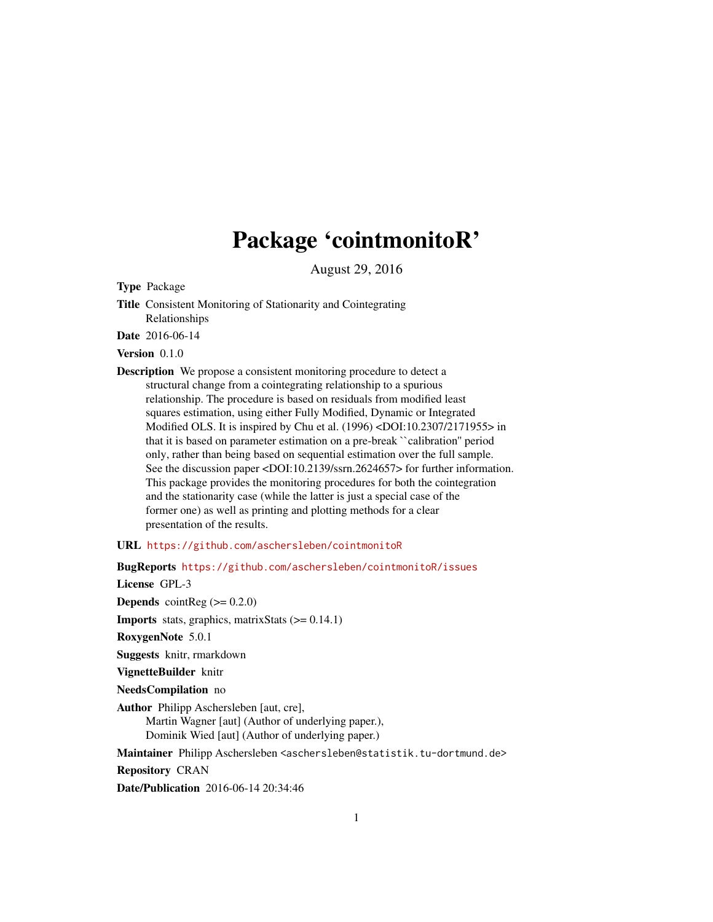# Package 'cointmonitoR'

August 29, 2016

<span id="page-0-0"></span>Type Package

Title Consistent Monitoring of Stationarity and Cointegrating Relationships

Date 2016-06-14

Version 0.1.0

Description We propose a consistent monitoring procedure to detect a structural change from a cointegrating relationship to a spurious relationship. The procedure is based on residuals from modified least squares estimation, using either Fully Modified, Dynamic or Integrated Modified OLS. It is inspired by Chu et al. (1996) <DOI:10.2307/2171955> in that it is based on parameter estimation on a pre-break ``calibration'' period only, rather than being based on sequential estimation over the full sample. See the discussion paper <DOI:10.2139/ssrn.2624657> for further information. This package provides the monitoring procedures for both the cointegration and the stationarity case (while the latter is just a special case of the former one) as well as printing and plotting methods for a clear presentation of the results.

URL <https://github.com/aschersleben/cointmonitoR>

BugReports <https://github.com/aschersleben/cointmonitoR/issues>

License GPL-3

**Depends** cointReg  $(>= 0.2.0)$ 

**Imports** stats, graphics, matrixStats  $(>= 0.14.1)$ 

RoxygenNote 5.0.1

Suggests knitr, rmarkdown

VignetteBuilder knitr

NeedsCompilation no

Author Philipp Aschersleben [aut, cre], Martin Wagner [aut] (Author of underlying paper.), Dominik Wied [aut] (Author of underlying paper.)

Maintainer Philipp Aschersleben <aschersleben@statistik.tu-dortmund.de>

Repository CRAN

Date/Publication 2016-06-14 20:34:46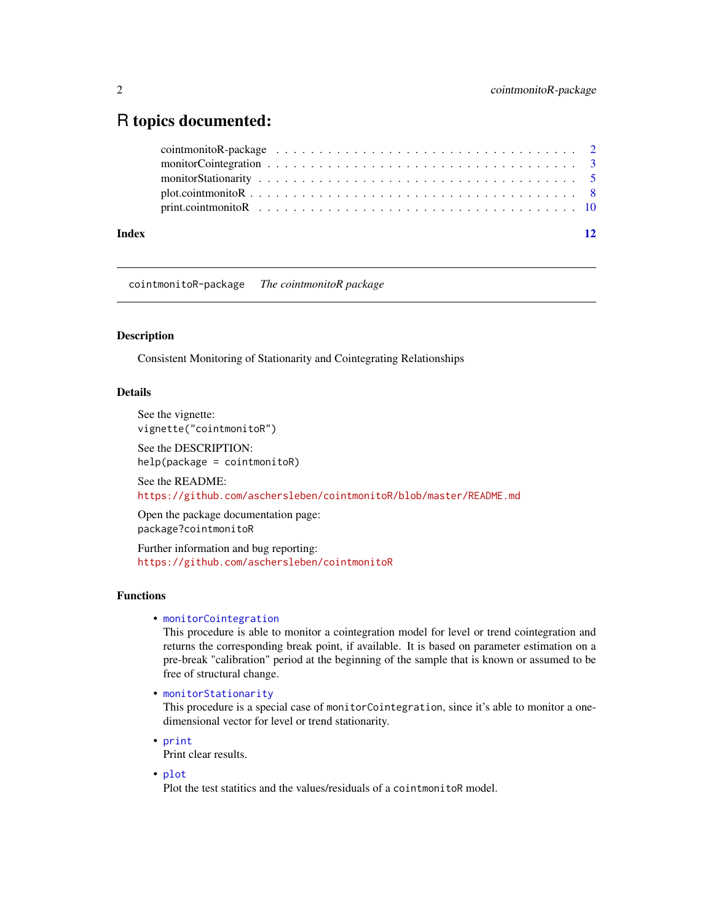# <span id="page-1-0"></span>R topics documented:

| Index | 12 |
|-------|----|
|       |    |
|       |    |
|       |    |
|       |    |
|       |    |

cointmonitoR-package *The cointmonitoR package*

#### Description

Consistent Monitoring of Stationarity and Cointegrating Relationships

# Details

See the vignette: vignette("cointmonitoR")

See the DESCRIPTION: help(package = cointmonitoR)

See the README: <https://github.com/aschersleben/cointmonitoR/blob/master/README.md>

Open the package documentation page: package?cointmonitoR

Further information and bug reporting: <https://github.com/aschersleben/cointmonitoR>

# Functions

#### • [monitorCointegration](#page-2-1)

This procedure is able to monitor a cointegration model for level or trend cointegration and returns the corresponding break point, if available. It is based on parameter estimation on a pre-break "calibration" period at the beginning of the sample that is known or assumed to be free of structural change.

• [monitorStationarity](#page-4-1)

This procedure is a special case of monitorCointegration, since it's able to monitor a onedimensional vector for level or trend stationarity.

• [print](#page-9-1)

Print clear results.

• [plot](#page-7-1)

Plot the test statitics and the values/residuals of a cointmonitoR model.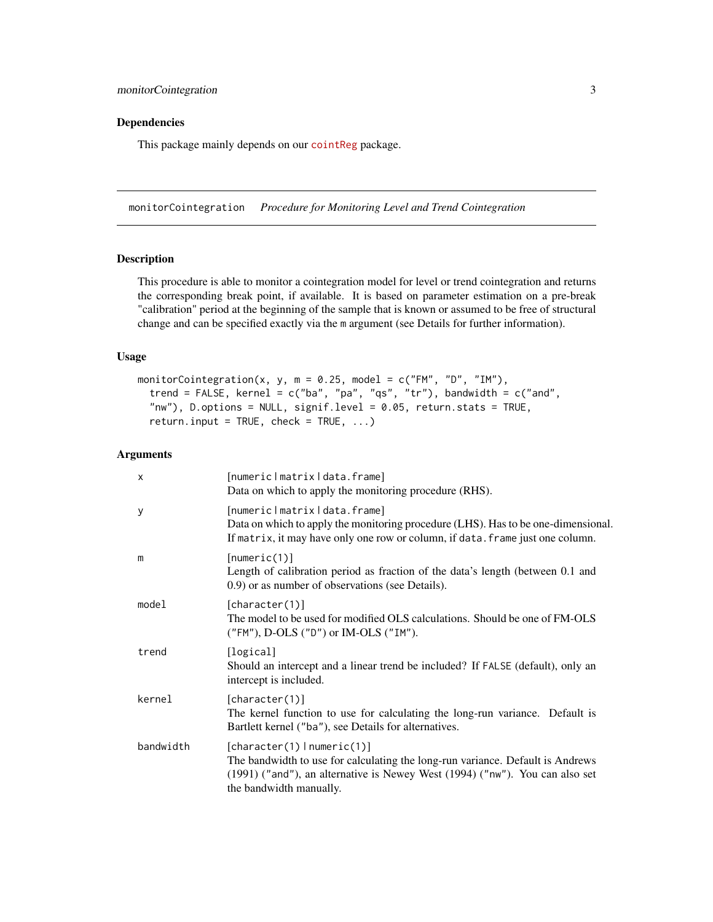# <span id="page-2-0"></span>Dependencies

This package mainly depends on our [cointReg](https://cran.r-project.org/package=cointReg) package.

<span id="page-2-1"></span>monitorCointegration *Procedure for Monitoring Level and Trend Cointegration*

# Description

This procedure is able to monitor a cointegration model for level or trend cointegration and returns the corresponding break point, if available. It is based on parameter estimation on a pre-break "calibration" period at the beginning of the sample that is known or assumed to be free of structural change and can be specified exactly via the m argument (see Details for further information).

#### Usage

```
monitorCointegration(x, y, m = 0.25, model = c("FM", "D", "IM"),trend = FALSE, kernel = c("ba", "pa", "qs", "tr"), bandwidth = c("and","nw"), D.options = NULL, signif.level = 0.05, return.stats = TRUE,
  return.input = TRUE, check = TRUE, ...)
```
# Arguments

| X         | [numericlmatrixldata.frame]<br>Data on which to apply the monitoring procedure (RHS).                                                                                                                                    |
|-----------|--------------------------------------------------------------------------------------------------------------------------------------------------------------------------------------------------------------------------|
| У         | [numericlmatrixldata.frame]<br>Data on which to apply the monitoring procedure (LHS). Has to be one-dimensional.<br>If matrix, it may have only one row or column, if data. frame just one column.                       |
| m         | [numeric(1)]<br>Length of calibration period as fraction of the data's length (between 0.1 and<br>0.9) or as number of observations (see Details).                                                                       |
| model     | [character(1)]<br>The model to be used for modified OLS calculations. Should be one of FM-OLS<br>("FM"), D-OLS ("D") or IM-OLS ("IM").                                                                                   |
| trend     | [logical]<br>Should an intercept and a linear trend be included? If FALSE (default), only an<br>intercept is included.                                                                                                   |
| kernel    | [character(1)]<br>The kernel function to use for calculating the long-run variance. Default is<br>Bartlett kernel ("ba"), see Details for alternatives.                                                                  |
| bandwidth | [character(1)   numeric(1)]<br>The bandwidth to use for calculating the long-run variance. Default is Andrews<br>(1991) ("and"), an alternative is Newey West (1994) ("nw"). You can also set<br>the bandwidth manually. |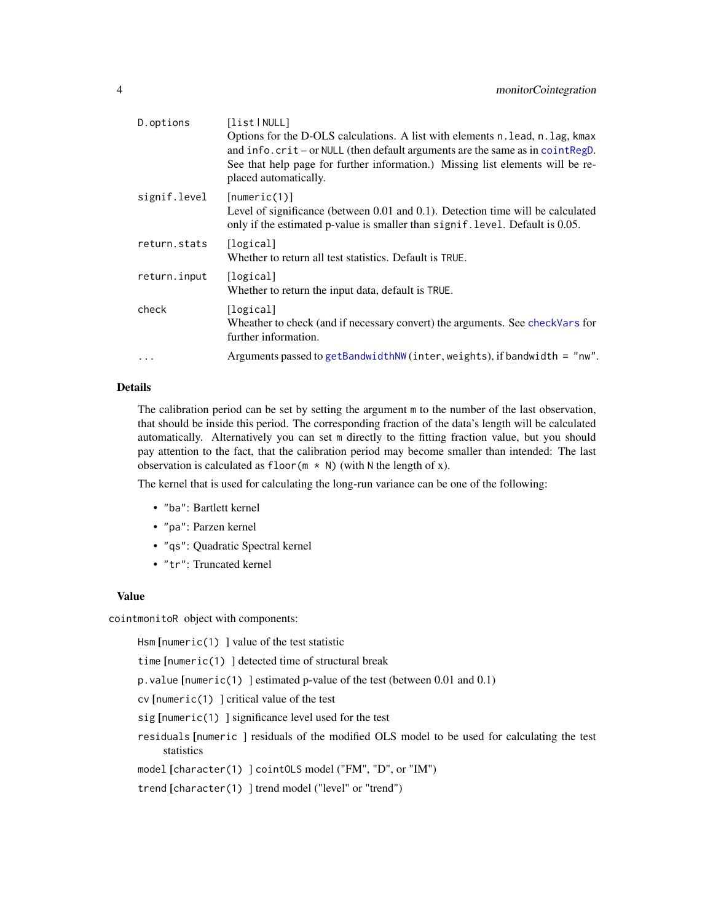<span id="page-3-0"></span>

| D.options    | [list NULL]<br>Options for the D-OLS calculations. A list with elements n. lead, n. lag, kmax<br>and $info.crit - or NULL$ (then default arguments are the same as in $cointRegD$ .<br>See that help page for further information.) Missing list elements will be re-<br>placed automatically. |
|--------------|------------------------------------------------------------------------------------------------------------------------------------------------------------------------------------------------------------------------------------------------------------------------------------------------|
| signif.level | [numeric(1)]<br>Level of significance (between $0.01$ and $0.1$ ). Detection time will be calculated<br>only if the estimated p-value is smaller than signif. level. Default is 0.05.                                                                                                          |
| return.stats | [logical]<br>Whether to return all test statistics. Default is TRUE.                                                                                                                                                                                                                           |
| return.input | [logical]<br>Whether to return the input data, default is TRUE.                                                                                                                                                                                                                                |
| check        | [logical]<br>Wheather to check (and if necessary convert) the arguments. See checkVars for<br>further information.                                                                                                                                                                             |
| $\cdots$     | Arguments passed to getBandwidthNW (inter, weights), if bandwidth = "nw".                                                                                                                                                                                                                      |
|              |                                                                                                                                                                                                                                                                                                |

#### Details

The calibration period can be set by setting the argument m to the number of the last observation, that should be inside this period. The corresponding fraction of the data's length will be calculated automatically. Alternatively you can set m directly to the fitting fraction value, but you should pay attention to the fact, that the calibration period may become smaller than intended: The last observation is calculated as floor( $m \times N$ ) (with N the length of x).

The kernel that is used for calculating the long-run variance can be one of the following:

- "ba": Bartlett kernel
- "pa": Parzen kernel
- "qs": Quadratic Spectral kernel
- "tr": Truncated kernel

#### Value

cointmonitoR object with components:

Hsm [numeric(1) ] value of the test statistic

time [numeric(1) ] detected time of structural break

p.value [numeric(1) ] estimated p-value of the test (between 0.01 and 0.1)

cv [numeric(1) ] critical value of the test

sig [numeric(1) ] significance level used for the test

residuals [numeric ] residuals of the modified OLS model to be used for calculating the test statistics

model [character(1) ] cointOLS model ("FM", "D", or "IM")

trend [character(1) ] trend model ("level" or "trend")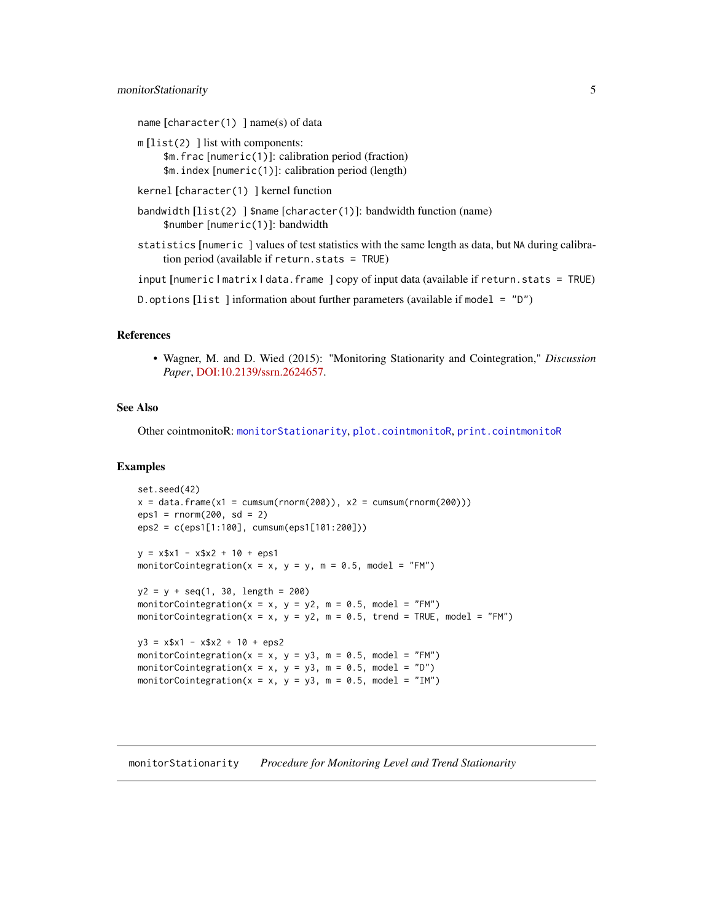#### <span id="page-4-0"></span>monitorStationarity 5

```
name [character(1) \nvert name(s) of data
```
- $m$ [list(2)] list with components: \$m.frac [numeric(1)]: calibration period (fraction) \$m.index [numeric(1)]: calibration period (length)
- kernel [character(1) ] kernel function
- bandwidth [list(2) ] \$name [character(1)]: bandwidth function (name) \$number [numeric(1)]: bandwidth
- statistics [numeric ] values of test statistics with the same length as data, but NA during calibration period (available if return.stats = TRUE)

input [numeric | matrix | data.frame ] copy of input data (available if return.stats = TRUE)

D. options [list] information about further parameters (available if model =  $"D"$ )

#### References

• Wagner, M. and D. Wied (2015): "Monitoring Stationarity and Cointegration," *Discussion Paper*, [DOI:10.2139/ssrn.2624657.](http://dx.doi.org/10.2139/ssrn.2624657)

# See Also

Other cointmonitoR: [monitorStationarity](#page-4-1), [plot.cointmonitoR](#page-7-1), [print.cointmonitoR](#page-9-1)

#### Examples

```
set.seed(42)
x = data. frame(x1 = cumsum(rnorm(200)), x2 = cumsum(rnorm(200)))
eps1 = rnorm(200, sd = 2)eps2 = c(eps1[1:100], cumsum(eps1[101:200]))
y = x$x1 - x$x2 + 10 + eps1
monitorCointegration(x = x, y = y, m = 0.5, model = "FM")
y2 = y + seq(1, 30, length = 200)
monitorCointegration(x = x, y = y2, m = 0.5, model = "FM")
monitorCointegration(x = x, y = y2, m = 0.5, trend = TRUE, model = "FM")
y3 = x $x1 - x $x2 + 10 + eps2monitorCointegration(x = x, y = y3, m = 0.5, model = "FM")
monitorCointegration(x = x, y = y3, m = 0.5, model = "D")
monitorCointegration(x = x, y = y3, m = 0.5, model = "IM")
```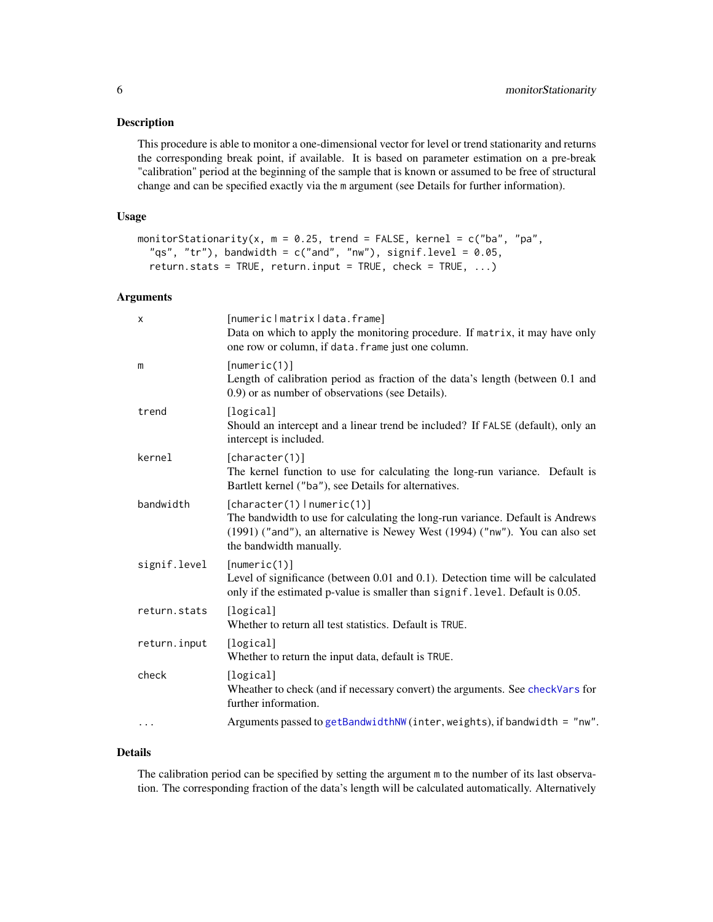#### <span id="page-5-0"></span>Description

This procedure is able to monitor a one-dimensional vector for level or trend stationarity and returns the corresponding break point, if available. It is based on parameter estimation on a pre-break "calibration" period at the beginning of the sample that is known or assumed to be free of structural change and can be specified exactly via the m argument (see Details for further information).

#### Usage

```
monitorStationarity(x, m = 0.25, trend = FALSE, kernel = c("ba", "pa",
  "qs", "tr"), bandwidth = c("and", "nw"), signif.level = 0.05,
  return.stats = TRUE, return.input = TRUE, check = TRUE, ...)
```
#### Arguments

| $\mathsf{x}$ | [numericlmatrixldata.frame]<br>Data on which to apply the monitoring procedure. If matrix, it may have only<br>one row or column, if data. frame just one column.                                                        |
|--------------|--------------------------------------------------------------------------------------------------------------------------------------------------------------------------------------------------------------------------|
| m            | [numeric(1)]<br>Length of calibration period as fraction of the data's length (between 0.1 and<br>0.9) or as number of observations (see Details).                                                                       |
| trend        | [logical]<br>Should an intercept and a linear trend be included? If FALSE (default), only an<br>intercept is included.                                                                                                   |
| kernel       | [character(1)]<br>The kernel function to use for calculating the long-run variance. Default is<br>Bartlett kernel ("ba"), see Details for alternatives.                                                                  |
| bandwidth    | [character(1)   numeric(1)]<br>The bandwidth to use for calculating the long-run variance. Default is Andrews<br>(1991) ("and"), an alternative is Newey West (1994) ("nw"). You can also set<br>the bandwidth manually. |
| signif.level | [numeric(1)]<br>Level of significance (between 0.01 and 0.1). Detection time will be calculated<br>only if the estimated p-value is smaller than signif. level. Default is 0.05.                                         |
| return.stats | [logical]<br>Whether to return all test statistics. Default is TRUE.                                                                                                                                                     |
| return.input | [logical]<br>Whether to return the input data, default is TRUE.                                                                                                                                                          |
| check        | [logical]<br>Wheather to check (and if necessary convert) the arguments. See checkVars for<br>further information.                                                                                                       |
| $\cdots$     | Arguments passed to getBandwidthNW (inter, weights), if bandwidth = "nw".                                                                                                                                                |

#### Details

The calibration period can be specified by setting the argument m to the number of its last observation. The corresponding fraction of the data's length will be calculated automatically. Alternatively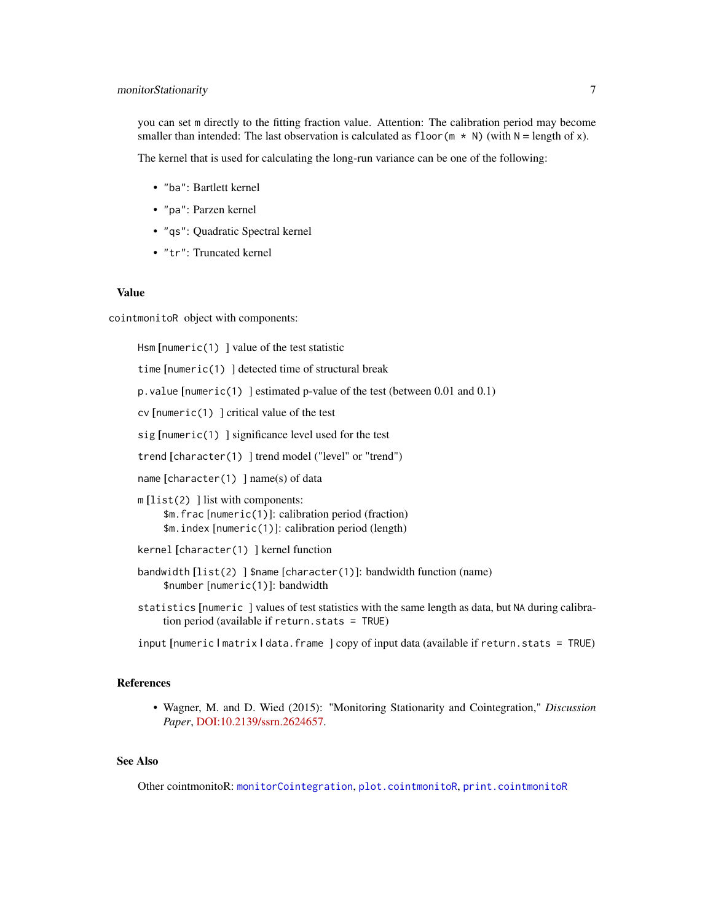# <span id="page-6-0"></span>monitorStationarity 7

you can set m directly to the fitting fraction value. Attention: The calibration period may become smaller than intended: The last observation is calculated as  $floor(m \star N)$  (with  $N =$  length of x).

The kernel that is used for calculating the long-run variance can be one of the following:

- "ba": Bartlett kernel
- "pa": Parzen kernel
- "qs": Quadratic Spectral kernel
- "tr": Truncated kernel

#### Value

cointmonitoR object with components:

Hsm [numeric(1) ] value of the test statistic time [numeric(1) ] detected time of structural break p.value [numeric(1) ] estimated p-value of the test (between 0.01 and 0.1) cv [numeric(1) ] critical value of the test sig [numeric(1) ] significance level used for the test trend [character(1) ] trend model ("level" or "trend") name [character(1) ] name(s) of data  $m [list(2)]$  list with components: \$m.frac [numeric(1)]: calibration period (fraction) \$m.index [numeric(1)]: calibration period (length) kernel [character(1) ] kernel function bandwidth [list(2) ] \$name [character(1)]: bandwidth function (name) \$number [numeric(1)]: bandwidth

statistics [numeric ] values of test statistics with the same length as data, but NA during calibration period (available if return.stats = TRUE)

input [numeric | matrix | data.frame ] copy of input data (available if return.stats = TRUE)

#### References

• Wagner, M. and D. Wied (2015): "Monitoring Stationarity and Cointegration," *Discussion Paper*, [DOI:10.2139/ssrn.2624657.](http://dx.doi.org/10.2139/ssrn.2624657)

# See Also

Other cointmonitoR: [monitorCointegration](#page-2-1), [plot.cointmonitoR](#page-7-1), [print.cointmonitoR](#page-9-1)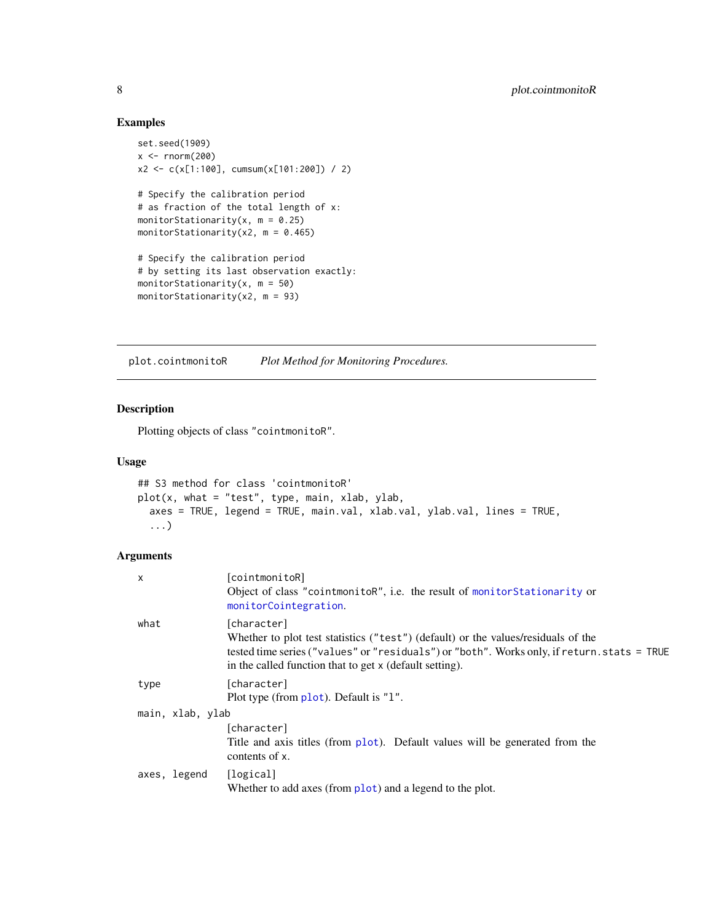# Examples

```
set.seed(1909)
x < - rnorm(200)x2 <- c(x[1:100], cumsum(x[101:200]) / 2)
# Specify the calibration period
# as fraction of the total length of x:
monitorStationarity(x, m = 0.25)
monitorStationarity(x2, m = 0.465)
# Specify the calibration period
# by setting its last observation exactly:
monitorStationarity(x, m = 50)
monitorStationarity(x2, m = 93)
```
<span id="page-7-1"></span>plot.cointmonitoR *Plot Method for Monitoring Procedures.*

# Description

Plotting objects of class "cointmonitoR".

# Usage

```
## S3 method for class 'cointmonitoR'
plot(x, what = "test", type, main, xlab, ylab,
  axes = TRUE, legend = TRUE, main.val, xlab.val, ylab.val, lines = TRUE,
  ...)
```
# Arguments

| $\mathsf{x}$     |              | [cointmonitoR]<br>Object of class "cointmonitoR", i.e. the result of monitor Stationarity or<br>monitorCointegration.                                                                                                                                      |
|------------------|--------------|------------------------------------------------------------------------------------------------------------------------------------------------------------------------------------------------------------------------------------------------------------|
| what             |              | [character]<br>Whether to plot test statistics ("test") (default) or the values/residuals of the<br>tested time series ("values" or "residuals") or "both". Works only, if return. stats = TRUE<br>in the called function that to get x (default setting). |
| type             |              | [character]<br>Plot type (from plot). Default is "1".                                                                                                                                                                                                      |
| main, xlab, ylab |              |                                                                                                                                                                                                                                                            |
|                  |              | [character]<br>Title and axis titles (from plot). Default values will be generated from the<br>contents of x.                                                                                                                                              |
|                  | axes, legend | [logical]<br>Whether to add axes (from plot) and a legend to the plot.                                                                                                                                                                                     |

<span id="page-7-0"></span>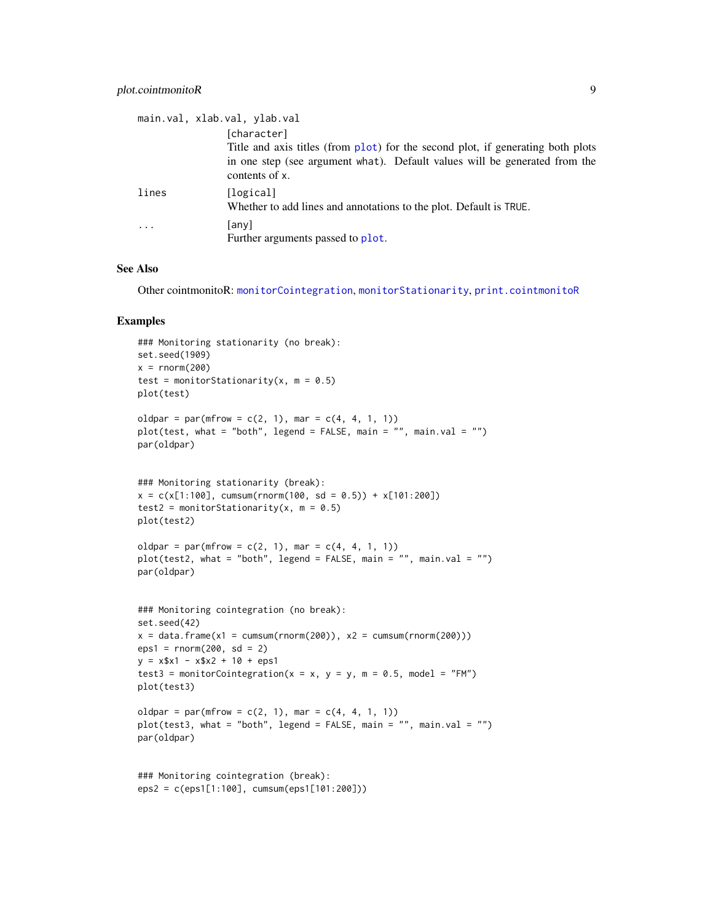## <span id="page-8-0"></span>plot.cointmonitoR 9

|                         | main.val, xlab.val, ylab.val<br>[character]<br>Title and axis titles (from plot) for the second plot, if generating both plots<br>in one step (see argument what). Default values will be generated from the<br>contents of x. |
|-------------------------|--------------------------------------------------------------------------------------------------------------------------------------------------------------------------------------------------------------------------------|
| lines                   | [logical]<br>Whether to add lines and annotations to the plot. Default is TRUE.                                                                                                                                                |
| $\cdot$ $\cdot$ $\cdot$ | any)<br>Further arguments passed to plot.                                                                                                                                                                                      |

## See Also

Other cointmonitoR: [monitorCointegration](#page-2-1), [monitorStationarity](#page-4-1), [print.cointmonitoR](#page-9-1)

#### Examples

```
### Monitoring stationarity (no break):
set.seed(1909)
x = rnorm(200)test = monitorStationarity(x, m = 0.5)
plot(test)
oldpar = par(mfrow = c(2, 1), mar = c(4, 4, 1, 1))
plot(test, what = "both", legend = FALSE, main = "", main.val = "")
par(oldpar)
### Monitoring stationarity (break):
x = c(x[1:100], \text{cum}(\text{rnorm}(100, \text{sd} = 0.5)) + x[101:200])test2 = monitorStationarity(x, m = 0.5)
plot(test2)
oldpar = par(mfrow = c(2, 1), mar = c(4, 4, 1, 1))
plot(test2, what = "both", legend = FALSE, main = "", main.val = "")
par(oldpar)
### Monitoring cointegration (no break):
set.seed(42)
x = data. frame(x1 = cumsum(rnorm(200)), x2 = \text{cumsum}(rnorm(200))eps1 = rnorm(200, sd = 2)y = x$x1 - x$x2 + 10 + eps1
test3 = monitorCointegration(x = x, y = y, m = 0.5, model = "FM")
plot(test3)
oldpar = par(mfrow = c(2, 1), mar = c(4, 4, 1, 1))
plot(test3, what = "both", legend = FALSE, main = "", main.val = "")
par(oldpar)
### Monitoring cointegration (break):
eps2 = c(eps1[1:100], cumsum(eps1[101:200]))
```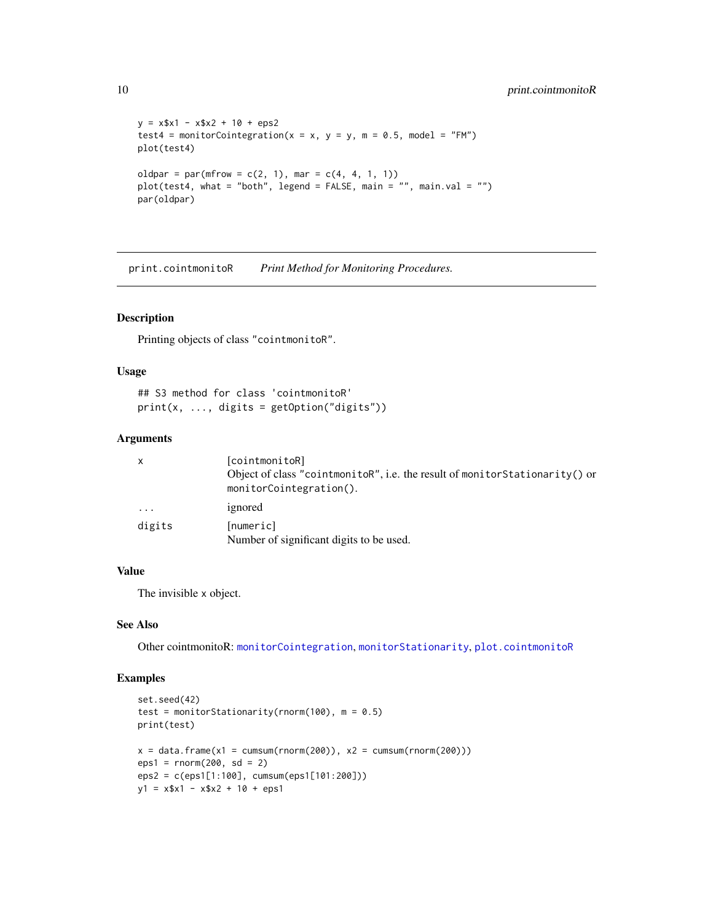```
y = x$x1 - x$x2 + 10 + eps2
test4 = monitorCointegration(x = x, y = y, m = 0.5, model = "FM")
plot(test4)
oldpar = par(mfrow = c(2, 1), mar = c(4, 4, 1, 1))
plot(test4, what = "both", legend = FALSE, main = "", main.val = "")
par(oldpar)
```
<span id="page-9-1"></span>print.cointmonitoR *Print Method for Monitoring Procedures.*

#### Description

Printing objects of class "cointmonitoR".

#### Usage

## S3 method for class 'cointmonitoR'  $print(x, ..., \text{ digits} = getOption("digits"))$ 

#### Arguments

| $\mathsf{x}$ | [cointmonitoR]                                                                                         |
|--------------|--------------------------------------------------------------------------------------------------------|
|              | Object of class "cointmonitoR", i.e. the result of monitorStationarity() or<br>monitorCointegration(). |
| $\cdots$     | ignored                                                                                                |
| digits       | [numeric]<br>Number of significant digits to be used.                                                  |

#### Value

The invisible x object.

#### See Also

Other cointmonitoR: [monitorCointegration](#page-2-1), [monitorStationarity](#page-4-1), [plot.cointmonitoR](#page-7-1)

# Examples

```
set.seed(42)
test = monitorStationarity(rnorm(100), m = 0.5)
print(test)
x = data . frame(x1 = cumsum(rnorm(200)), x2 = cumsum(rnorm(200)))eps1 = rnorm(200, sd = 2)eps2 = c(eps1[1:100], cumsum(eps1[101:200]))
y1 = x $x1 - x $x2 + 10 + eps1
```
<span id="page-9-0"></span>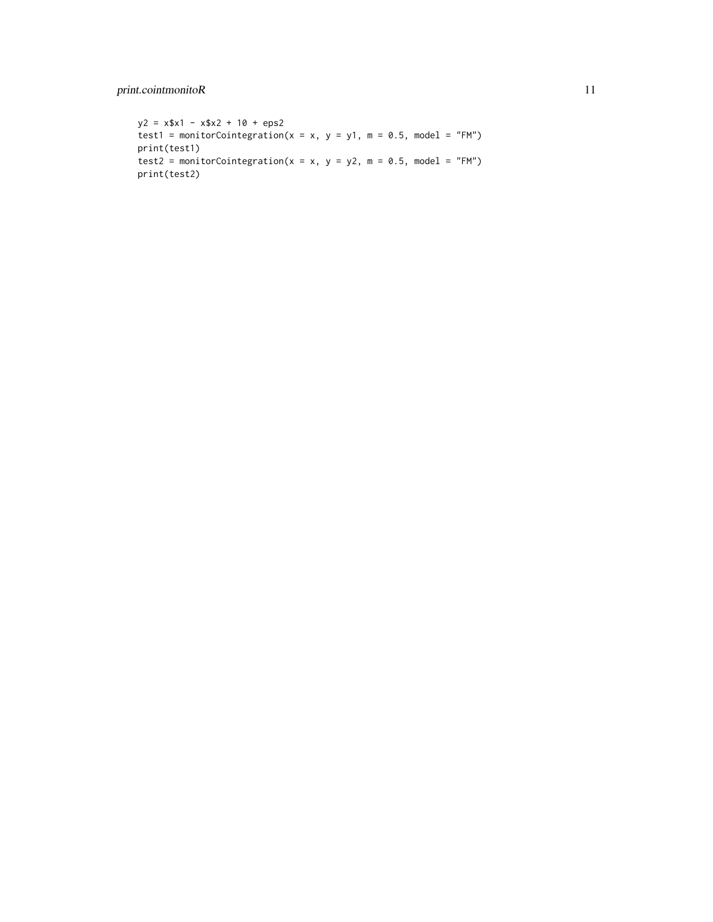# print.cointmonitoR 11

 $y2 = x$ \$x1 -  $x$ \$x2 + 10 + eps2 test1 = monitorCointegration( $x = x$ ,  $y = y1$ ,  $m = 0.5$ , model = "FM") print(test1) test2 = monitorCointegration( $x = x$ ,  $y = y2$ ,  $m = 0.5$ , model = "FM") print(test2)